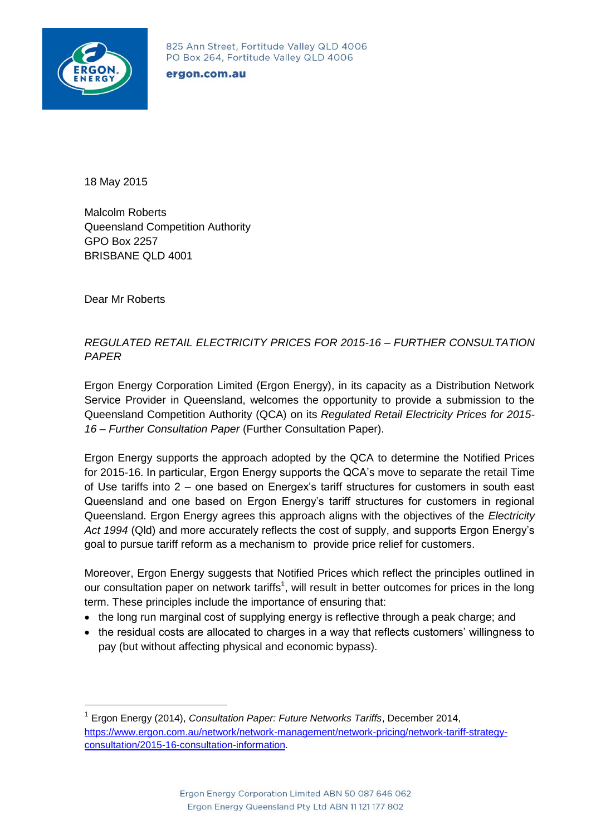

825 Ann Street, Fortitude Valley QLD 4006 PO Box 264, Fortitude Valley QLD 4006

## ergon.com.au

18 May 2015

Malcolm Roberts Queensland Competition Authority GPO Box 2257 BRISBANE QLD 4001

Dear Mr Roberts

1

## *REGULATED RETAIL ELECTRICITY PRICES FOR 2015-16 – FURTHER CONSULTATION PAPER*

Ergon Energy Corporation Limited (Ergon Energy), in its capacity as a Distribution Network Service Provider in Queensland, welcomes the opportunity to provide a submission to the Queensland Competition Authority (QCA) on its *Regulated Retail Electricity Prices for 2015- 16 – Further Consultation Paper* (Further Consultation Paper).

Ergon Energy supports the approach adopted by the QCA to determine the Notified Prices for 2015-16. In particular, Ergon Energy supports the QCA's move to separate the retail Time of Use tariffs into 2 – one based on Energex's tariff structures for customers in south east Queensland and one based on Ergon Energy's tariff structures for customers in regional Queensland. Ergon Energy agrees this approach aligns with the objectives of the *Electricity Act 1994* (Qld) and more accurately reflects the cost of supply, and supports Ergon Energy's goal to pursue tariff reform as a mechanism to provide price relief for customers.

Moreover, Ergon Energy suggests that Notified Prices which reflect the principles outlined in our consultation paper on network tariffs<sup>1</sup>, will result in better outcomes for prices in the long term. These principles include the importance of ensuring that:

- the long run marginal cost of supplying energy is reflective through a peak charge; and
- the residual costs are allocated to charges in a way that reflects customers' willingness to pay (but without affecting physical and economic bypass).

<sup>1</sup> Ergon Energy (2014), *Consultation Paper: Future Networks Tariffs*, December 2014, [https://www.ergon.com.au/network/network-management/network-pricing/network-tariff-strategy](https://www.ergon.com.au/network/network-management/network-pricing/network-tariff-strategy-consultation/2015-16-consultation-information)[consultation/2015-16-consultation-information.](https://www.ergon.com.au/network/network-management/network-pricing/network-tariff-strategy-consultation/2015-16-consultation-information)